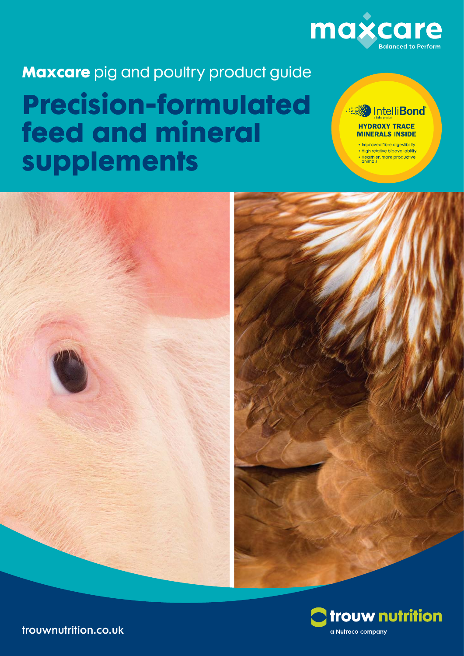

**Maxcare** pig and poultry product guide

# **Precision-formulated feed and mineral supplements**

## Intelli**Bond HYDROXY TRACE MINERALS INSIDE**

• Improved fibre digestibility · High relative bioavailability · Healthier, more productive<br>animals





trouwnutrition.co.uk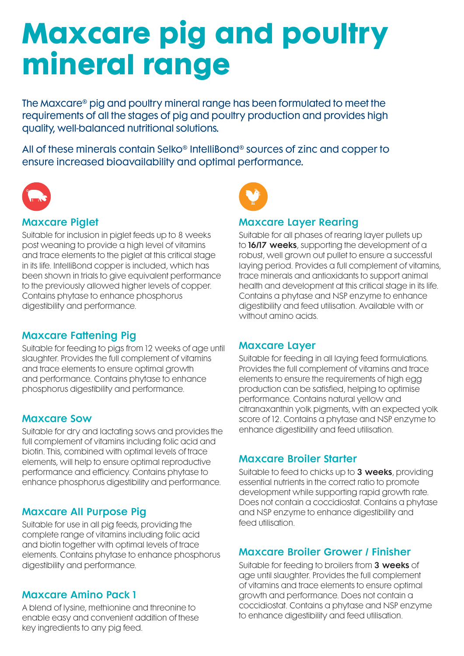# **Maxcare pig and poultry mineral range**

The Maxcare® pig and poultry mineral range has been formulated to meet the requirements of all the stages of pig and poultry production and provides high quality, well-balanced nutritional solutions.

All of these minerals contain Selko® IntelliBond® sources of zinc and copper to ensure increased bioavailability and optimal performance.



### Maxcare Piglet

Suitable for inclusion in piglet feeds up to 8 weeks post weaning to provide a high level of vitamins and trace elements to the piglet at this critical stage in its life. IntelliBond copper is included, which has been shown in trials to give equivalent performance to the previously allowed higher levels of copper. Contains phytase to enhance phosphorus digestibility and performance.

### Maxcare Fattening Pig

Suitable for feeding to pigs from 12 weeks of age until slaughter. Provides the full complement of vitamins and trace elements to ensure optimal growth and performance. Contains phytase to enhance phosphorus digestibility and performance.

#### Maxcare Sow

Suitable for dry and lactating sows and provides the full complement of vitamins including folic acid and biotin. This, combined with optimal levels of trace elements, will help to ensure optimal reproductive performance and efficiency. Contains phytase to enhance phosphorus digestibility and performance.

#### Maxcare All Purpose Pig

Suitable for use in all pig feeds, providing the complete range of vitamins including folic acid and biotin together with optimal levels of trace elements. Contains phytase to enhance phosphorus digestibility and performance.

#### Maxcare Amino Pack 1

A blend of lysine, methionine and threonine to enable easy and convenient addition of these key ingredients to any pig feed.



#### Maxcare Layer Rearing

Suitable for all phases of rearing layer pullets up to 16/17 weeks, supporting the development of a robust, well grown out pullet to ensure a successful laying period. Provides a full complement of vitamins, trace minerals and antioxidants to support animal health and development at this critical stage in its life. Contains a phytase and NSP enzyme to enhance digestibility and feed utilisation. Available with or without amino acids.

#### Maxcare Layer

Suitable for feeding in all laying feed formulations. Provides the full complement of vitamins and trace elements to ensure the requirements of high egg production can be satisfied, helping to optimise performance. Contains natural yellow and citranaxanthin yolk pigments, with an expected yolk score of 12. Contains a phytase and NSP enzyme to enhance digestibility and feed utilisation.

#### Maxcare Broiler Starter

Suitable to feed to chicks up to 3 weeks, providing essential nutrients in the correct ratio to promote development while supporting rapid growth rate. Does not contain a coccidiostat. Contains a phytase and NSP enzyme to enhance digestibility and feed utilisation.

#### Maxcare Broiler Grower / Finisher

Suitable for feeding to broilers from 3 weeks of age until slaughter. Provides the full complement of vitamins and trace elements to ensure optimal growth and performance. Does not contain a coccidiostat. Contains a phytase and NSP enzyme to enhance digestibility and feed utilisation.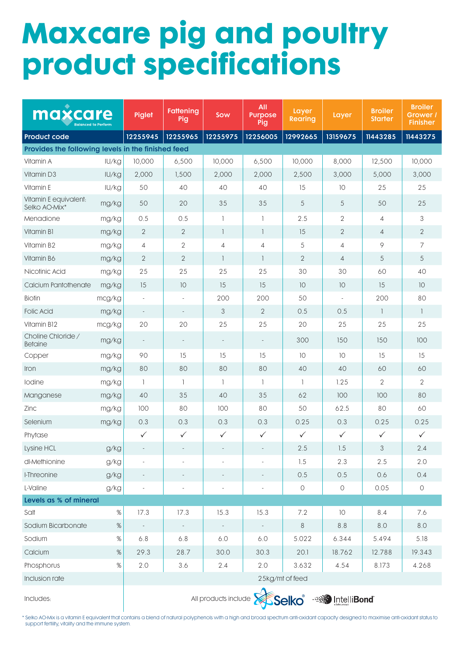# **Maxcare pig and poultry product specifications**

| maxcare<br><b>Balanced to Perform</b>              |        | <b>Piglet</b>                                    | Fattening<br>Pig         | Sow                      | All<br><b>Purpose</b><br>Pig | Layer<br><b>Rearing</b> | Layer          | <b>Broiler</b><br><b>Starter</b> | <b>Broiler</b><br>Grower /<br><b>Finisher</b> |
|----------------------------------------------------|--------|--------------------------------------------------|--------------------------|--------------------------|------------------------------|-------------------------|----------------|----------------------------------|-----------------------------------------------|
| <b>Product code</b>                                |        | 12255945                                         | 12255965                 | 12255975                 | 12256005                     | 12992665                | 13159675       | 11443285                         | 11443275                                      |
| Provides the following levels in the finished feed |        |                                                  |                          |                          |                              |                         |                |                                  |                                               |
| Vitamin A                                          | IU/kg  | 10,000                                           | 6,500                    | 10,000                   | 6,500                        | 10,000                  | 8,000          | 12,500                           | 10,000                                        |
| Vitamin D3                                         | IU/kg  | 2,000                                            | 1,500                    | 2,000                    | 2,000                        | 2,500                   | 3,000          | 5,000                            | 3,000                                         |
| Vitamin E                                          | IU/kg  | 50                                               | 40                       | 40                       | 40                           | 15                      | 10             | 25                               | 25                                            |
| Vitamin E equivalent:<br>Selko AO-Mix*             | mg/kg  | 50                                               | 20                       | 35                       | 35                           | 5                       | 5              | 50                               | 25                                            |
| Menadione                                          | mg/kg  | 0.5                                              | 0.5                      | $\mathbf{1}$             | $\mathbf{1}$                 | 2.5                     | $\overline{2}$ | $\overline{4}$                   | 3                                             |
| Vitamin B1                                         | mg/kg  | $\overline{2}$                                   | $\overline{2}$           | $\mathbf{1}$             | $\mathbf{1}$                 | 15                      | $\overline{2}$ | $\overline{4}$                   | $\overline{2}$                                |
| Vitamin B2                                         | mg/kg  | $\overline{4}$                                   | 2                        | $\overline{4}$           | $\overline{4}$               | 5                       | $\overline{4}$ | 9                                | 7                                             |
| Vitamin B6                                         | mg/kg  | $\overline{2}$                                   | $\mathbf{2}$             | $\overline{\phantom{a}}$ | $\overline{1}$               | $\mathbf{2}$            | $\overline{4}$ | 5                                | 5                                             |
| Nicotinic Acid                                     | mg/kg  | 25                                               | 25                       | 25                       | 25                           | 30                      | 30             | 60                               | 40                                            |
| Calcium Pantothenate                               | mg/kg  | 15                                               | 10                       | 15                       | 15                           | 10                      | 10             | 15                               | 10                                            |
| <b>Biotin</b>                                      | mcg/kg |                                                  |                          | 200                      | 200                          | 50                      |                | 200                              | 80                                            |
| <b>Folic Acid</b>                                  | mg/kg  | $\overline{\phantom{a}}$                         | $\overline{\phantom{a}}$ | 3                        | $\mathbf{2}$                 | 0.5                     | 0.5            | $\mathbf{1}$                     | $\mathbf{1}$                                  |
| Vitamin B12                                        | mcg/kg | 20                                               | 20                       | 25                       | 25                           | 20                      | 25             | 25                               | 25                                            |
| Choline Chloride /<br><b>Betaine</b>               | mg/kg  | $\overline{\phantom{a}}$                         | $\overline{\phantom{a}}$ | $\overline{\phantom{a}}$ | $\overline{a}$               | 300                     | 150            | 150                              | 100                                           |
| Copper                                             | mg/kg  | 90                                               | 15                       | 15                       | 15                           | 10                      | 10             | 15                               | 15                                            |
| Iron                                               | mg/kg  | 80                                               | 80                       | 80                       | 80                           | 40                      | 40             | 60                               | 60                                            |
| Iodine                                             | mg/kg  | $\overline{1}$                                   | 1                        | $\mathbf{1}$             | 1                            | $\mathbf{1}$            | 1.25           | $\overline{2}$                   | $\overline{2}$                                |
| Manganese                                          | mg/kg  | 40                                               | 35                       | 40                       | 35                           | 62                      | 100            | 100                              | 80                                            |
| Zinc                                               | mg/kg  | 100                                              | 80                       | 100                      | 80                           | 50                      | 62.5           | 80                               | 60                                            |
| Selenium                                           | mg/kg  | 0.3                                              | 0.3                      | 0.3                      | 0.3                          | 0.25                    | 0.3            | 0.25                             | 0.25                                          |
| Phytase                                            |        | $\checkmark$                                     | $\checkmark$             | $\checkmark$             | $\checkmark$                 | $\checkmark$            | $\checkmark$   | $\checkmark$                     | $\checkmark$                                  |
| Lysine HCL                                         | g/kg   |                                                  |                          |                          |                              | $2.5\,$                 | 1.5            | $\mathsf 3$                      | 2.4                                           |
| dl-Methionine                                      | g/kg   |                                                  |                          |                          |                              | 1.5                     | 2.3            | 2.5                              | 2.0                                           |
| I-Threonine                                        | g/kg   |                                                  | $\overline{\phantom{a}}$ | $\overline{\phantom{a}}$ | $\qquad \qquad -$            | 0.5                     | 0.5            | 0.6                              | 0.4                                           |
| L-Valine                                           | g/kg   | $\overline{\phantom{a}}$                         | $\overline{\phantom{a}}$ | $\overline{\phantom{a}}$ | $\overline{\phantom{a}}$     | $\bigcirc$              | $\bigcirc$     | 0.05                             | $\bigcirc$                                    |
| Levels as % of mineral                             |        |                                                  |                          |                          |                              |                         |                |                                  |                                               |
| Salt                                               | $\%$   | 17.3                                             | 17.3                     | 15.3                     | 15.3                         | 7.2                     | 10             | 8.4                              | 7.6                                           |
| Sodium Bicarbonate                                 | $\%$   |                                                  | $\sim$                   | $\sim$                   | $\sim$                       | $\,8\,$                 | $8.8\,$        | 8.0                              | $8.0\,$                                       |
| Sodium                                             | $\%$   | 6.8                                              | 6.8                      | $6.0$                    | 6.0                          | 5.022                   | 6.344          | 5.494                            | 5.18                                          |
| Calcium                                            | $\%$   | 29.3                                             | 28.7                     | 30.0                     | 30.3                         | 20.1                    | 18.762         | 12.788                           | 19.343                                        |
| Phosphorus                                         | %      | 2.0                                              | 3.6                      | 2.4                      | 2.0                          | 3.632                   | 4.54           | 8.173                            | 4.268                                         |
| Inclusion rate                                     |        | 25kg/mt of feed                                  |                          |                          |                              |                         |                |                                  |                                               |
| Includes:                                          |        | All products include <b>Selko</b><br>IntelliBond |                          |                          |                              |                         |                |                                  |                                               |

\* Selko AO-Mix is a vitamin E equivalent that contains a blend of natural polyphenols with a high and broad spectrum anti-oxidant capacity designed to maximise anti-oxidant status to support fertility, vitality and the immune system.